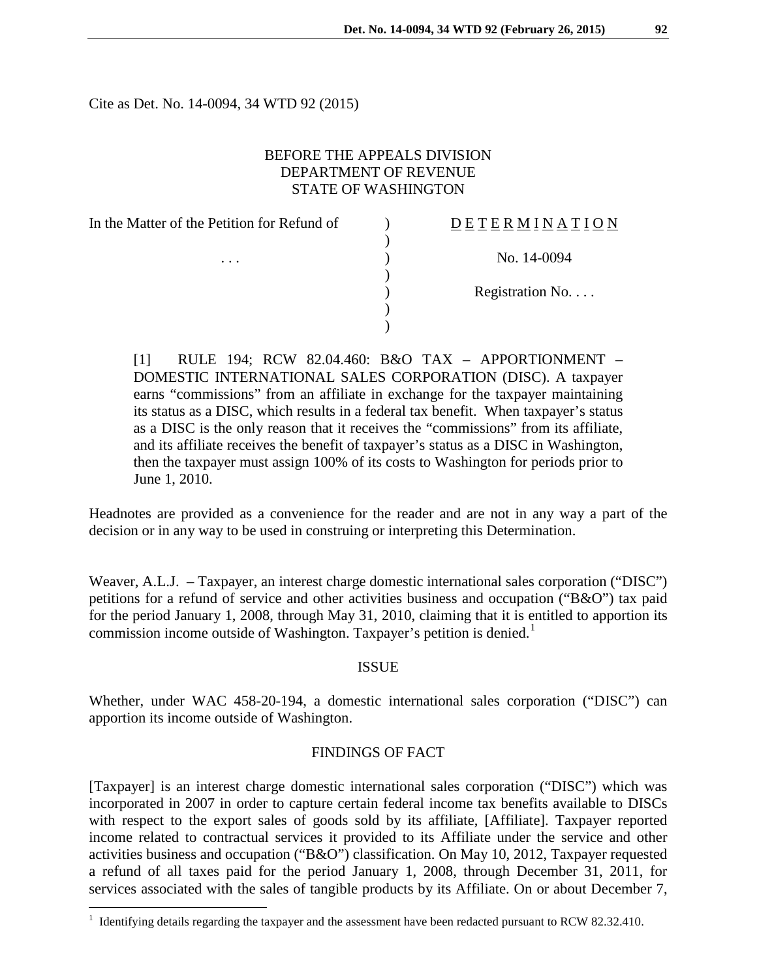D E T E R M I N A T I O N

Cite as Det. No. 14-0094, 34 WTD 92 (2015)

## BEFORE THE APPEALS DIVISION DEPARTMENT OF REVENUE STATE OF WASHINGTON

In the Matter of the Petition for Refund of  $\qquad)$ )  $\cdots$  ) No. 14-0094 ) ) Registration No. . . . ) )

[1] RULE 194; RCW 82.04.460: B&O TAX – APPORTIONMENT – DOMESTIC INTERNATIONAL SALES CORPORATION (DISC). A taxpayer earns "commissions" from an affiliate in exchange for the taxpayer maintaining its status as a DISC, which results in a federal tax benefit. When taxpayer's status as a DISC is the only reason that it receives the "commissions" from its affiliate, and its affiliate receives the benefit of taxpayer's status as a DISC in Washington, then the taxpayer must assign 100% of its costs to Washington for periods prior to June 1, 2010.

Headnotes are provided as a convenience for the reader and are not in any way a part of the decision or in any way to be used in construing or interpreting this Determination.

Weaver, A.L.J. – Taxpayer, an interest charge domestic international sales corporation ("DISC") petitions for a refund of service and other activities business and occupation ("B&O") tax paid for the period January 1, 2008, through May 31, 2010, claiming that it is entitled to apportion its commission income outside of Washington. Taxpayer's petition is denied.<sup>[1](#page-0-0)</sup>

## ISSUE

Whether, under WAC 458-20-194, a domestic international sales corporation ("DISC") can apportion its income outside of Washington.

#### FINDINGS OF FACT

[Taxpayer] is an interest charge domestic international sales corporation ("DISC") which was incorporated in 2007 in order to capture certain federal income tax benefits available to DISCs with respect to the export sales of goods sold by its affiliate, [Affiliate]. Taxpayer reported income related to contractual services it provided to its Affiliate under the service and other activities business and occupation ("B&O") classification. On May 10, 2012, Taxpayer requested a refund of all taxes paid for the period January 1, 2008, through December 31, 2011, for services associated with the sales of tangible products by its Affiliate. On or about December 7,

 $\overline{a}$ 

<span id="page-0-0"></span> $1$  Identifying details regarding the taxpayer and the assessment have been redacted pursuant to RCW 82.32.410.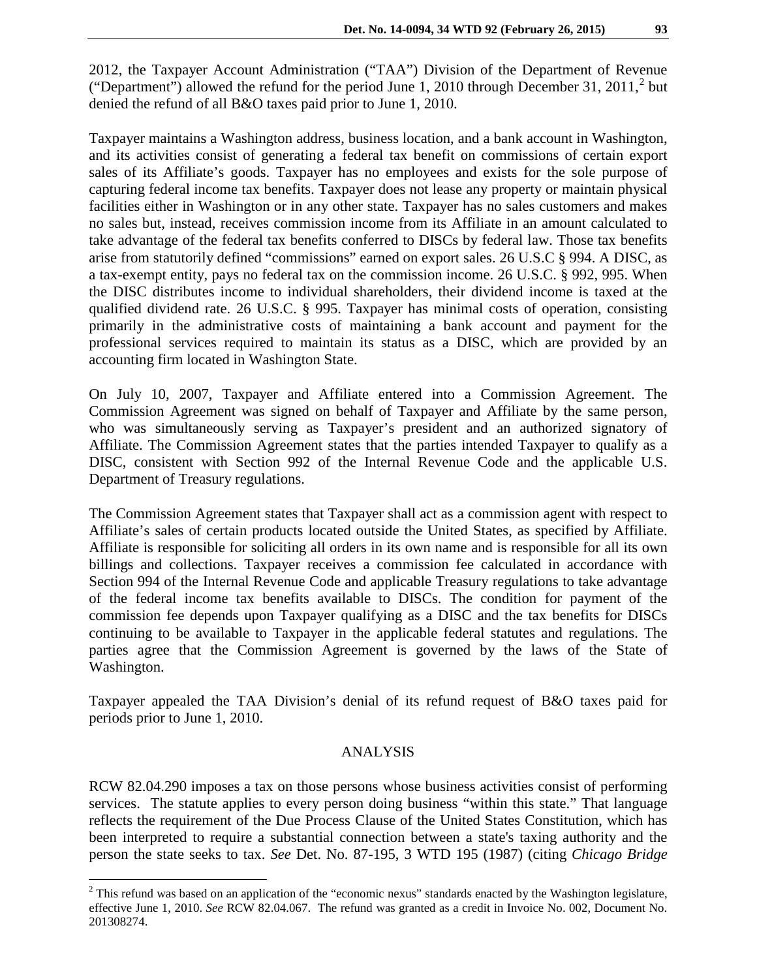2012, the Taxpayer Account Administration ("TAA") Division of the Department of Revenue ("Department") allowed the refund for the period June 1, [2](#page-1-0)010 through December 31, 2011, $^2$  but denied the refund of all B&O taxes paid prior to June 1, 2010.

Taxpayer maintains a Washington address, business location, and a bank account in Washington, and its activities consist of generating a federal tax benefit on commissions of certain export sales of its Affiliate's goods. Taxpayer has no employees and exists for the sole purpose of capturing federal income tax benefits. Taxpayer does not lease any property or maintain physical facilities either in Washington or in any other state. Taxpayer has no sales customers and makes no sales but, instead, receives commission income from its Affiliate in an amount calculated to take advantage of the federal tax benefits conferred to DISCs by federal law. Those tax benefits arise from statutorily defined "commissions" earned on export sales. 26 U.S.C § 994. A DISC, as a tax-exempt entity, pays no federal tax on the commission income. 26 U.S.C. § 992, 995. When the DISC distributes income to individual shareholders, their dividend income is taxed at the qualified dividend rate. 26 U.S.C. § 995. Taxpayer has minimal costs of operation, consisting primarily in the administrative costs of maintaining a bank account and payment for the professional services required to maintain its status as a DISC, which are provided by an accounting firm located in Washington State.

On July 10, 2007, Taxpayer and Affiliate entered into a Commission Agreement. The Commission Agreement was signed on behalf of Taxpayer and Affiliate by the same person, who was simultaneously serving as Taxpayer's president and an authorized signatory of Affiliate. The Commission Agreement states that the parties intended Taxpayer to qualify as a DISC, consistent with Section 992 of the Internal Revenue Code and the applicable U.S. Department of Treasury regulations.

The Commission Agreement states that Taxpayer shall act as a commission agent with respect to Affiliate's sales of certain products located outside the United States, as specified by Affiliate. Affiliate is responsible for soliciting all orders in its own name and is responsible for all its own billings and collections. Taxpayer receives a commission fee calculated in accordance with Section 994 of the Internal Revenue Code and applicable Treasury regulations to take advantage of the federal income tax benefits available to DISCs. The condition for payment of the commission fee depends upon Taxpayer qualifying as a DISC and the tax benefits for DISCs continuing to be available to Taxpayer in the applicable federal statutes and regulations. The parties agree that the Commission Agreement is governed by the laws of the State of Washington.

Taxpayer appealed the TAA Division's denial of its refund request of B&O taxes paid for periods prior to June 1, 2010.

#### ANALYSIS

RCW 82.04.290 imposes a tax on those persons whose business activities consist of performing services. The statute applies to every person doing business "within this state." That language reflects the requirement of the Due Process Clause of the United States Constitution, which has been interpreted to require a substantial connection between a state's taxing authority and the person the state seeks to tax. *See* Det. No. 87-195, 3 WTD 195 (1987) (citing *Chicago Bridge* 

 $\overline{a}$ 

<span id="page-1-0"></span><sup>&</sup>lt;sup>2</sup> This refund was based on an application of the "economic nexus" standards enacted by the Washington legislature, effective June 1, 2010. *See* RCW 82.04.067. The refund was granted as a credit in Invoice No. 002, Document No. 201308274.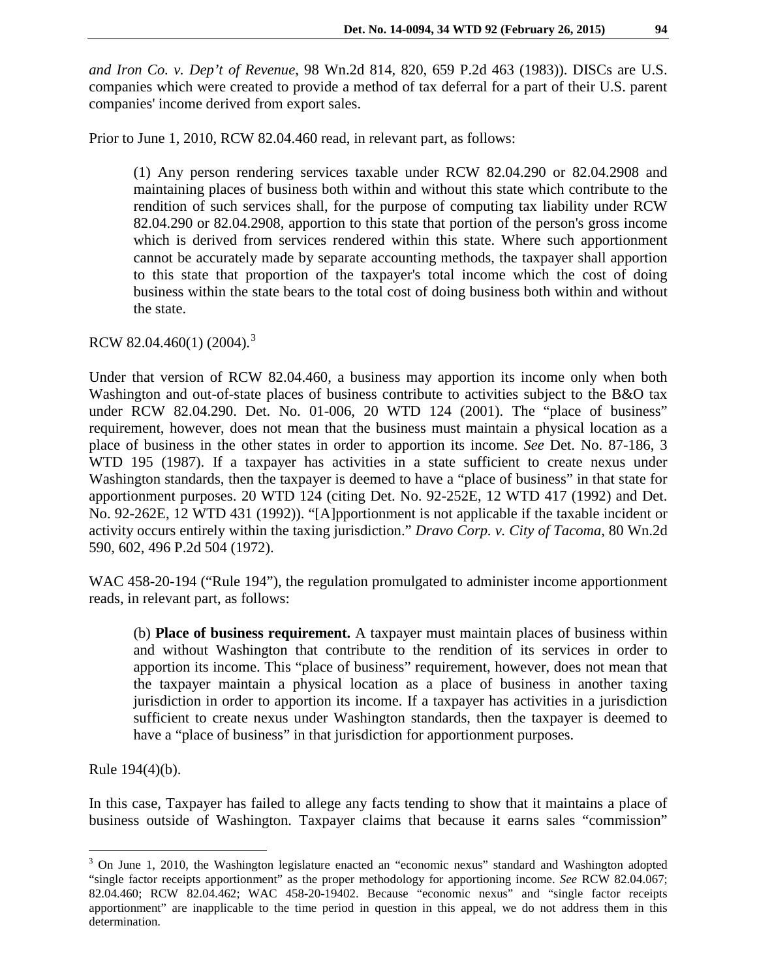*and Iron Co. v. Dep't of Revenue*, 98 Wn.2d 814, 820, 659 P.2d 463 (1983)). DISCs are U.S. companies which were created to provide a method of tax deferral for a part of their U.S. parent companies' income derived from export sales.

Prior to June 1, 2010, RCW 82.04.460 read, in relevant part, as follows:

(1) Any person rendering services taxable under RCW 82.04.290 or 82.04.2908 and maintaining places of business both within and without this state which contribute to the rendition of such services shall, for the purpose of computing tax liability under RCW 82.04.290 or 82.04.2908, apportion to this state that portion of the person's gross income which is derived from services rendered within this state. Where such apportionment cannot be accurately made by separate accounting methods, the taxpayer shall apportion to this state that proportion of the taxpayer's total income which the cost of doing business within the state bears to the total cost of doing business both within and without the state.

RCW 82.04.460(1) (2004).<sup>[3](#page-2-0)</sup>

Under that version of RCW 82.04.460, a business may apportion its income only when both Washington and out-of-state places of business contribute to activities subject to the B&O tax under RCW 82.04.290. Det. No. 01-006, 20 WTD 124 (2001). The "place of business" requirement, however, does not mean that the business must maintain a physical location as a place of business in the other states in order to apportion its income. *See* Det. No. 87-186, 3 WTD 195 (1987). If a taxpayer has activities in a state sufficient to create nexus under Washington standards, then the taxpayer is deemed to have a "place of business" in that state for apportionment purposes. 20 WTD 124 (citing Det. No. 92-252E, 12 WTD 417 (1992) and Det. No. 92-262E, 12 WTD 431 (1992)). "[A]pportionment is not applicable if the taxable incident or activity occurs entirely within the taxing jurisdiction." *Dravo Corp. v. City of Tacoma*, 80 Wn.2d 590, 602, 496 P.2d 504 (1972).

WAC 458-20-194 ("Rule 194"), the regulation promulgated to administer income apportionment reads, in relevant part, as follows:

(b) **Place of business requirement.** A taxpayer must maintain places of business within and without Washington that contribute to the rendition of its services in order to apportion its income. This "place of business" requirement, however, does not mean that the taxpayer maintain a physical location as a place of business in another taxing jurisdiction in order to apportion its income. If a taxpayer has activities in a jurisdiction sufficient to create nexus under Washington standards, then the taxpayer is deemed to have a "place of business" in that jurisdiction for apportionment purposes.

Rule 194(4)(b).

 $\overline{a}$ 

In this case, Taxpayer has failed to allege any facts tending to show that it maintains a place of business outside of Washington. Taxpayer claims that because it earns sales "commission"

<span id="page-2-0"></span><sup>&</sup>lt;sup>3</sup> On June 1, 2010, the Washington legislature enacted an "economic nexus" standard and Washington adopted "single factor receipts apportionment" as the proper methodology for apportioning income. *See* RCW 82.04.067; 82.04.460; RCW 82.04.462; WAC 458-20-19402. Because "economic nexus" and "single factor receipts apportionment" are inapplicable to the time period in question in this appeal, we do not address them in this determination.